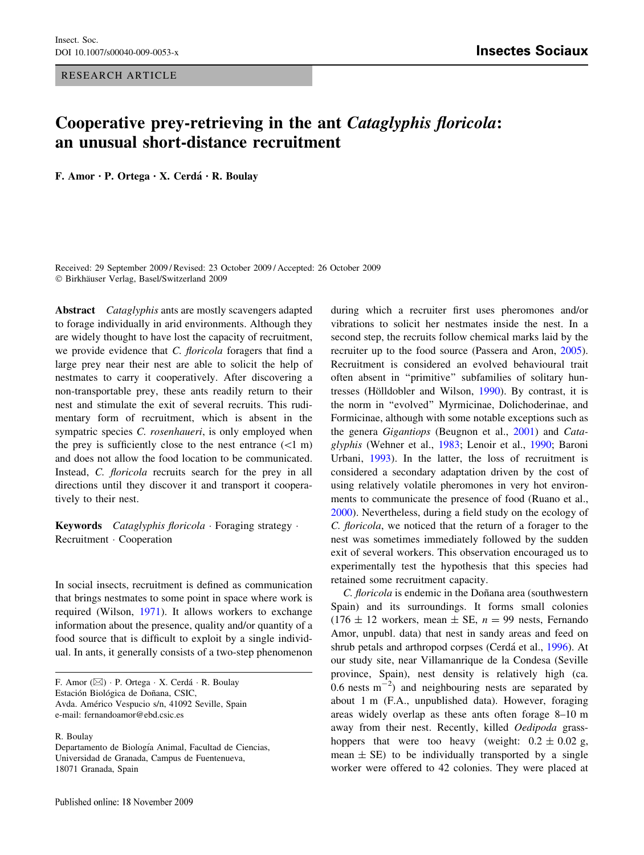RESEARCH ARTICLE

## Cooperative prey-retrieving in the ant Cataglyphis floricola: an unusual short-distance recruitment

F. Amor · P. Ortega · X. Cerdá · R. Boulay

Received: 29 September 2009 / Revised: 23 October 2009 / Accepted: 26 October 2009  $© Birkhäuser Verlag, Basel/Switzerland 2009$ 

Abstract Cataglyphis ants are mostly scavengers adapted to forage individually in arid environments. Although they are widely thought to have lost the capacity of recruitment, we provide evidence that *C. floricola* foragers that find a large prey near their nest are able to solicit the help of nestmates to carry it cooperatively. After discovering a non-transportable prey, these ants readily return to their nest and stimulate the exit of several recruits. This rudimentary form of recruitment, which is absent in the sympatric species C. rosenhaueri, is only employed when the prey is sufficiently close to the nest entrance  $(<1$  m) and does not allow the food location to be communicated. Instead, C. floricola recruits search for the prey in all directions until they discover it and transport it cooperatively to their nest.

Keywords Cataglyphis floricola  $\cdot$  Foraging strategy  $\cdot$ Recruitment · Cooperation

In social insects, recruitment is defined as communication that brings nestmates to some point in space where work is required (Wilson, [1971\)](#page-3-0). It allows workers to exchange information about the presence, quality and/or quantity of a food source that is difficult to exploit by a single individual. In ants, it generally consists of a two-step phenomenon

F. Amor ( $\boxtimes$ ) · P. Ortega · X. Cerdá · R. Boulay Estación Biológica de Doñana, CSIC, Avda. Américo Vespucio s/n, 41092 Seville, Spain e-mail: fernandoamor@ebd.csic.es

R. Boulay

during which a recruiter first uses pheromones and/or vibrations to solicit her nestmates inside the nest. In a second step, the recruits follow chemical marks laid by the recruiter up to the food source (Passera and Aron, [2005](#page-2-0)). Recruitment is considered an evolved behavioural trait often absent in ''primitive'' subfamilies of solitary hun-tresses (Hölldobler and Wilson, [1990\)](#page-2-0). By contrast, it is the norm in ''evolved'' Myrmicinae, Dolichoderinae, and Formicinae, although with some notable exceptions such as the genera Gigantiops (Beugnon et al., [2001\)](#page-2-0) and Cataglyphis (Wehner et al., [1983](#page-3-0); Lenoir et al., [1990](#page-2-0); Baroni Urbani, [1993\)](#page-2-0). In the latter, the loss of recruitment is considered a secondary adaptation driven by the cost of using relatively volatile pheromones in very hot environments to communicate the presence of food (Ruano et al., [2000](#page-2-0)). Nevertheless, during a field study on the ecology of C. floricola, we noticed that the return of a forager to the nest was sometimes immediately followed by the sudden exit of several workers. This observation encouraged us to experimentally test the hypothesis that this species had retained some recruitment capacity.

C. floricola is endemic in the Doñana area (southwestern Spain) and its surroundings. It forms small colonies  $(176 \pm 12 \text{ workers}, \text{mean} \pm \text{SE}, n = 99 \text{ nets}, \text{Fernando})$ Amor, unpubl. data) that nest in sandy areas and feed on shrub petals and arthropod corpses (Cerda´ et al., [1996](#page-2-0)). At our study site, near Villamanrique de la Condesa (Seville province, Spain), nest density is relatively high (ca. 0.6 nests  $m^{-2}$ ) and neighbouring nests are separated by about 1 m (F.A., unpublished data). However, foraging areas widely overlap as these ants often forage 8–10 m away from their nest. Recently, killed Oedipoda grasshoppers that were too heavy (weight:  $0.2 \pm 0.02$  g, mean  $\pm$  SE) to be individually transported by a single worker were offered to 42 colonies. They were placed at

Departamento de Biología Animal, Facultad de Ciencias, Universidad de Granada, Campus de Fuentenueva, 18071 Granada, Spain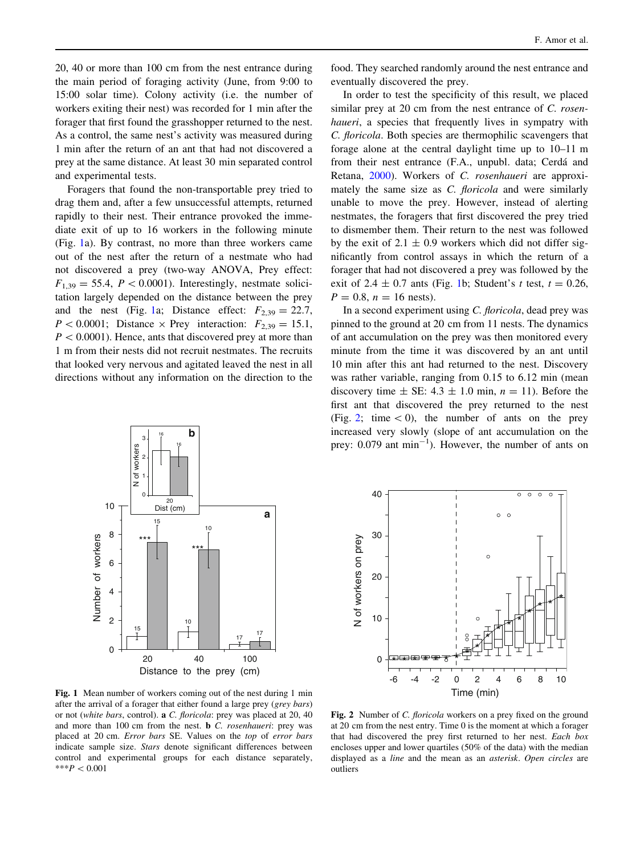20, 40 or more than 100 cm from the nest entrance during the main period of foraging activity (June, from 9:00 to 15:00 solar time). Colony activity (i.e. the number of workers exiting their nest) was recorded for 1 min after the forager that first found the grasshopper returned to the nest. As a control, the same nest's activity was measured during 1 min after the return of an ant that had not discovered a prey at the same distance. At least 30 min separated control and experimental tests.

Foragers that found the non-transportable prey tried to drag them and, after a few unsuccessful attempts, returned rapidly to their nest. Their entrance provoked the immediate exit of up to 16 workers in the following minute (Fig. 1a). By contrast, no more than three workers came out of the nest after the return of a nestmate who had not discovered a prey (two-way ANOVA, Prey effect:  $F_{1,39} = 55.4$ ,  $P \lt 0.0001$ ). Interestingly, nestmate solicitation largely depended on the distance between the prey and the nest (Fig. 1a; Distance effect:  $F_{2,39} = 22.7$ ,  $P < 0.0001$ ; Distance  $\times$  Prey interaction:  $F_{2,39} = 15.1$ ,  $P < 0.0001$ ). Hence, ants that discovered prey at more than 1 m from their nests did not recruit nestmates. The recruits that looked very nervous and agitated leaved the nest in all directions without any information on the direction to the

food. They searched randomly around the nest entrance and eventually discovered the prey.

In order to test the specificity of this result, we placed similar prey at 20 cm from the nest entrance of C. rosenhaueri, a species that frequently lives in sympatry with C. floricola. Both species are thermophilic scavengers that forage alone at the central daylight time up to 10–11 m from their nest entrance (F.A., unpubl. data; Cerdá and Retana, [2000\)](#page-2-0). Workers of C. rosenhaueri are approximately the same size as *C. floricola* and were similarly unable to move the prey. However, instead of alerting nestmates, the foragers that first discovered the prey tried to dismember them. Their return to the nest was followed by the exit of  $2.1 \pm 0.9$  workers which did not differ significantly from control assays in which the return of a forager that had not discovered a prey was followed by the exit of 2.4  $\pm$  0.7 ants (Fig. 1b; Student's t test,  $t = 0.26$ ,  $P = 0.8$ ,  $n = 16$  nests).

In a second experiment using C. floricola, dead prey was pinned to the ground at 20 cm from 11 nests. The dynamics of ant accumulation on the prey was then monitored every minute from the time it was discovered by an ant until 10 min after this ant had returned to the nest. Discovery was rather variable, ranging from 0.15 to 6.12 min (mean discovery time  $\pm$  SE: 4.3  $\pm$  1.0 min,  $n = 11$ ). Before the first ant that discovered the prey returned to the nest (Fig. 2; time  $\lt 0$ ), the number of ants on the prey increased very slowly (slope of ant accumulation on the prey:  $0.079$  ant min<sup>-1</sup>). However, the number of ants on





Fig. 1 Mean number of workers coming out of the nest during 1 min after the arrival of a forager that either found a large prey (grey bars) or not (white bars, control). a C. floricola: prey was placed at 20, 40 and more than 100 cm from the nest. **b** *C. rosenhaueri:* prey was placed at 20 cm. Error bars SE. Values on the top of error bars indicate sample size. Stars denote significant differences between control and experimental groups for each distance separately, \*\*\* $P < 0.001$ 

Fig. 2 Number of C. *floricola* workers on a prey fixed on the ground at 20 cm from the nest entry. Time 0 is the moment at which a forager that had discovered the prey first returned to her nest. Each box encloses upper and lower quartiles (50% of the data) with the median displayed as a line and the mean as an asterisk. Open circles are outliers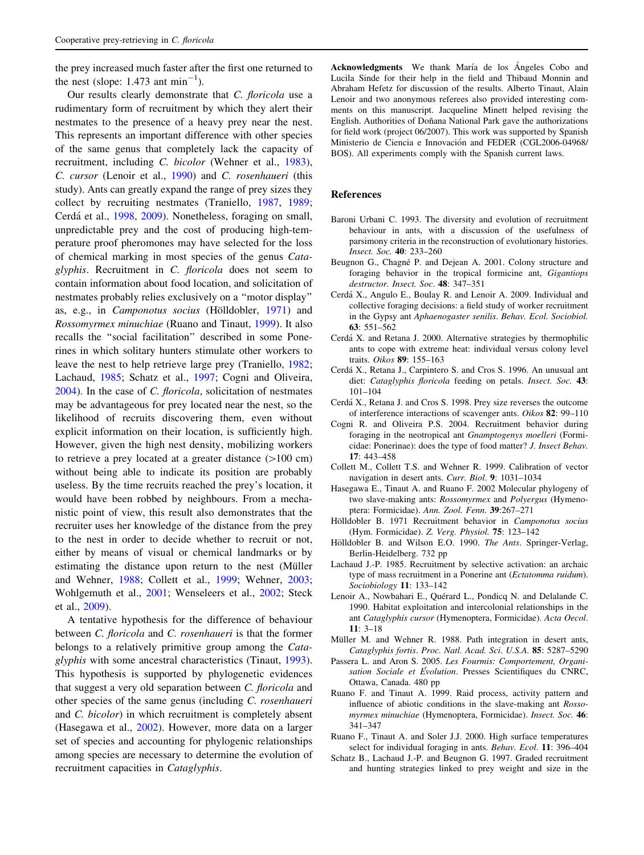<span id="page-2-0"></span>the prey increased much faster after the first one returned to the nest (slope:  $1.473$  ant  $\text{min}^{-1}$ ).

Our results clearly demonstrate that C. floricola use a rudimentary form of recruitment by which they alert their nestmates to the presence of a heavy prey near the nest. This represents an important difference with other species of the same genus that completely lack the capacity of recruitment, including C. bicolor (Wehner et al., [1983](#page-3-0)), C. cursor (Lenoir et al., 1990) and C. rosenhaueri (this study). Ants can greatly expand the range of prey sizes they collect by recruiting nestmates (Traniello, [1987](#page-3-0), [1989](#page-3-0); Cerdá et al., 1998, 2009). Nonetheless, foraging on small, unpredictable prey and the cost of producing high-temperature proof pheromones may have selected for the loss of chemical marking in most species of the genus Cataglyphis. Recruitment in C. floricola does not seem to contain information about food location, and solicitation of nestmates probably relies exclusively on a ''motor display'' as, e.g., in Camponotus socius (Hölldobler, 1971) and Rossomyrmex minuchiae (Ruano and Tinaut, 1999). It also recalls the ''social facilitation'' described in some Ponerines in which solitary hunters stimulate other workers to leave the nest to help retrieve large prey (Traniello, [1982](#page-3-0); Lachaud, 1985; Schatz et al., 1997; Cogni and Oliveira, 2004). In the case of C. floricola, solicitation of nestmates may be advantageous for prey located near the nest, so the likelihood of recruits discovering them, even without explicit information on their location, is sufficiently high. However, given the high nest density, mobilizing workers to retrieve a prey located at a greater distance  $(>100 \text{ cm})$ without being able to indicate its position are probably useless. By the time recruits reached the prey's location, it would have been robbed by neighbours. From a mechanistic point of view, this result also demonstrates that the recruiter uses her knowledge of the distance from the prey to the nest in order to decide whether to recruit or not, either by means of visual or chemical landmarks or by estimating the distance upon return to the nest (Müller and Wehner, 1988; Collett et al., 1999; Wehner, [2003](#page-3-0); Wohlgemuth et al., [2001](#page-3-0); Wenseleers et al., [2002;](#page-3-0) Steck et al., [2009](#page-3-0)).

A tentative hypothesis for the difference of behaviour between C. floricola and C. rosenhaueri is that the former belongs to a relatively primitive group among the Cataglyphis with some ancestral characteristics (Tinaut, [1993](#page-3-0)). This hypothesis is supported by phylogenetic evidences that suggest a very old separation between C. floricola and other species of the same genus (including C. rosenhaueri and C. bicolor) in which recruitment is completely absent (Hasegawa et al., 2002). However, more data on a larger set of species and accounting for phylogenic relationships among species are necessary to determine the evolution of recruitment capacities in Cataglyphis.

Acknowledgments We thank María de los Ángeles Cobo and Lucila Sinde for their help in the field and Thibaud Monnin and Abraham Hefetz for discussion of the results. Alberto Tinaut, Alain Lenoir and two anonymous referees also provided interesting comments on this manuscript. Jacqueline Minett helped revising the English. Authorities of Doñana National Park gave the authorizations for field work (project 06/2007). This work was supported by Spanish Ministerio de Ciencia e Innovación and FEDER (CGL2006-04968/ BOS). All experiments comply with the Spanish current laws.

## References

- Baroni Urbani C. 1993. The diversity and evolution of recruitment behaviour in ants, with a discussion of the usefulness of parsimony criteria in the reconstruction of evolutionary histories. Insect. Soc. 40: 233–260
- Beugnon G., Chagné P. and Dejean A. 2001. Colony structure and foraging behavior in the tropical formicine ant, Gigantiops destructor. Insect. Soc. 48: 347-351
- Cerda´ X., Angulo E., Boulay R. and Lenoir A. 2009. Individual and collective foraging decisions: a field study of worker recruitment in the Gypsy ant Aphaenogaster senilis. Behav. Ecol. Sociobiol. 63: 551–562
- Cerda´ X. and Retana J. 2000. Alternative strategies by thermophilic ants to cope with extreme heat: individual versus colony level traits. Oikos 89: 155–163
- Cerda´ X., Retana J., Carpintero S. and Cros S. 1996. An unusual ant diet: Cataglyphis floricola feeding on petals. Insect. Soc. 43: 101–104
- Cerda´ X., Retana J. and Cros S. 1998. Prey size reverses the outcome of interference interactions of scavenger ants. Oikos 82: 99–110
- Cogni R. and Oliveira P.S. 2004. Recruitment behavior during foraging in the neotropical ant Gnamptogenys moelleri (Formicidae: Ponerinae): does the type of food matter? J. Insect Behav. 17: 443–458
- Collett M., Collett T.S. and Wehner R. 1999. Calibration of vector navigation in desert ants. Curr. Biol. 9: 1031–1034
- Hasegawa E., Tinaut A. and Ruano F. 2002 Molecular phylogeny of two slave-making ants: Rossomyrmex and Polyergus (Hymenoptera: Formicidae). Ann. Zool. Fenn. 39:267–271
- Hölldobler B. 1971 Recruitment behavior in Camponotus socius (Hym. Formicidae). Z. Verg. Physiol. 75: 123–142
- Hölldobler B. and Wilson E.O. 1990. The Ants. Springer-Verlag, Berlin-Heidelberg. 732 pp
- Lachaud J.-P. 1985. Recruitment by selective activation: an archaic type of mass recruitment in a Ponerine ant (Ectatomma ruidum). Sociobiology 11: 133–142
- Lenoir A., Nowbahari E., Quérard L., Pondicq N. and Delalande C. 1990. Habitat exploitation and intercolonial relationships in the ant Cataglyphis cursor (Hymenoptera, Formicidae). Acta Oecol. 11: 3–18
- Müller M. and Wehner R. 1988. Path integration in desert ants, Cataglyphis fortis. Proc. Natl. Acad. Sci. U.S.A. 85: 5287–5290
- Passera L. and Aron S. 2005. Les Fourmis: Comportement, Organisation Sociale et Évolution. Presses Scientifiques du CNRC, Ottawa, Canada. 480 pp
- Ruano F. and Tinaut A. 1999. Raid process, activity pattern and influence of abiotic conditions in the slave-making ant Rossomyrmex minuchiae (Hymenoptera, Formicidae). Insect. Soc. 46: 341–347
- Ruano F., Tinaut A. and Soler J.J. 2000. High surface temperatures select for individual foraging in ants. Behav. Ecol. 11: 396–404
- Schatz B., Lachaud J.-P. and Beugnon G. 1997. Graded recruitment and hunting strategies linked to prey weight and size in the